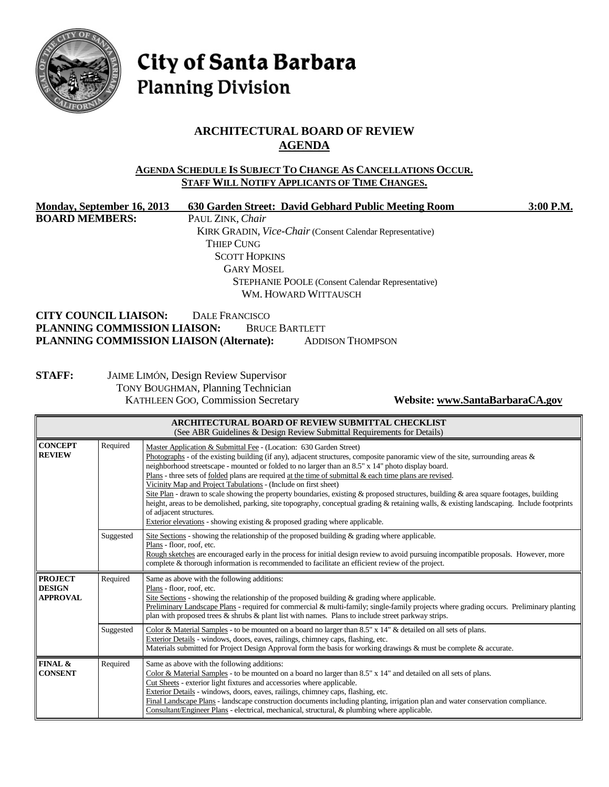

City of Santa Barbara **Planning Division** 

## **ARCHITECTURAL BOARD OF REVIEW AGENDA**

#### **AGENDA SCHEDULE IS SUBJECT TO CHANGE AS CANCELLATIONS OCCUR. STAFF WILL NOTIFY APPLICANTS OF TIME CHANGES.**

| Monday, September 16, 2013               | 630 Garden Street: David Gebhard Public Meeting Room             | 3:00 P.M. |
|------------------------------------------|------------------------------------------------------------------|-----------|
| <b>BOARD MEMBERS:</b>                    | PAUL ZINK, Chair                                                 |           |
|                                          | <b>KIRK GRADIN, Vice-Chair (Consent Calendar Representative)</b> |           |
|                                          | <b>THIEP CUNG</b>                                                |           |
|                                          | <b>SCOTT HOPKINS</b>                                             |           |
|                                          | <b>GARY MOSEL</b>                                                |           |
|                                          | <b>STEPHANIE POOLE</b> (Consent Calendar Representative)         |           |
|                                          | WM. HOWARD WITTAUSCH                                             |           |
| <b>CITY COUNCIL LIAISON:</b>             | <b>DALE FRANCISCO</b>                                            |           |
| PLANNING COMMISSION LIAISON:             | <b>BRUCE BARTLETT</b>                                            |           |
| PLANNING COMMISSION LIAISON (Alternate): | <b>ADDISON THOMPSON</b>                                          |           |
|                                          |                                                                  |           |
| <b>STAFF:</b>                            | <b>JAIME LIMÓN, Design Review Supervisor</b>                     |           |
|                                          | <b>TONY BOUGHMAN, Planning Technician</b>                        |           |

KATHLEEN GOO, Commission Secretary **Website[: www.SantaBarbaraCA.gov](http://www.santabarbaraca.gov/)**

| ARCHITECTURAL BOARD OF REVIEW SUBMITTAL CHECKLIST<br>(See ABR Guidelines & Design Review Submittal Requirements for Details)               |           |                                                                                                                                                                                                                                                                                                                                                                                                                                                                                                                                                                                                                                                                                                                                                                                                                                                                                                        |  |
|--------------------------------------------------------------------------------------------------------------------------------------------|-----------|--------------------------------------------------------------------------------------------------------------------------------------------------------------------------------------------------------------------------------------------------------------------------------------------------------------------------------------------------------------------------------------------------------------------------------------------------------------------------------------------------------------------------------------------------------------------------------------------------------------------------------------------------------------------------------------------------------------------------------------------------------------------------------------------------------------------------------------------------------------------------------------------------------|--|
| <b>CONCEPT</b><br><b>REVIEW</b>                                                                                                            | Required  | Master Application & Submittal Fee - (Location: 630 Garden Street)<br>Photographs - of the existing building (if any), adjacent structures, composite panoramic view of the site, surrounding areas &<br>neighborhood streetscape - mounted or folded to no larger than an 8.5" x 14" photo display board.<br>Plans - three sets of <u>folded</u> plans are required at the time of submittal $\&$ each time plans are revised.<br>Vicinity Map and Project Tabulations - (Include on first sheet)<br>Site Plan - drawn to scale showing the property boundaries, existing & proposed structures, building & area square footages, building<br>height, areas to be demolished, parking, site topography, conceptual grading & retaining walls, & existing landscaping. Include footprints<br>of adjacent structures.<br>Exterior elevations - showing existing $\&$ proposed grading where applicable. |  |
|                                                                                                                                            | Suggested | Site Sections - showing the relationship of the proposed building $\&$ grading where applicable.<br>Plans - floor, roof, etc.<br>Rough sketches are encouraged early in the process for initial design review to avoid pursuing incompatible proposals. However, more<br>complete & thorough information is recommended to facilitate an efficient review of the project.                                                                                                                                                                                                                                                                                                                                                                                                                                                                                                                              |  |
| Required<br><b>PROJECT</b><br>Same as above with the following additions:<br><b>DESIGN</b><br>Plans - floor, roof, etc.<br><b>APPROVAL</b> |           | Site Sections - showing the relationship of the proposed building & grading where applicable.<br>Preliminary Landscape Plans - required for commercial & multi-family; single-family projects where grading occurs. Preliminary planting<br>plan with proposed trees $\&$ shrubs $\&$ plant list with names. Plans to include street parkway strips.                                                                                                                                                                                                                                                                                                                                                                                                                                                                                                                                                   |  |
|                                                                                                                                            | Suggested | Color & Material Samples - to be mounted on a board no larger than 8.5" x 14" & detailed on all sets of plans.<br>Exterior Details - windows, doors, eaves, railings, chimney caps, flashing, etc.<br>Materials submitted for Project Design Approval form the basis for working drawings & must be complete & accurate.                                                                                                                                                                                                                                                                                                                                                                                                                                                                                                                                                                               |  |
| FINAL &<br><b>CONSENT</b>                                                                                                                  | Required  | Same as above with the following additions:<br>Color & Material Samples - to be mounted on a board no larger than 8.5" x 14" and detailed on all sets of plans.<br>Cut Sheets - exterior light fixtures and accessories where applicable.<br>Exterior Details - windows, doors, eaves, railings, chimney caps, flashing, etc.<br>Final Landscape Plans - landscape construction documents including planting, irrigation plan and water conservation compliance.<br>Consultant/Engineer Plans - electrical, mechanical, structural, & plumbing where applicable.                                                                                                                                                                                                                                                                                                                                       |  |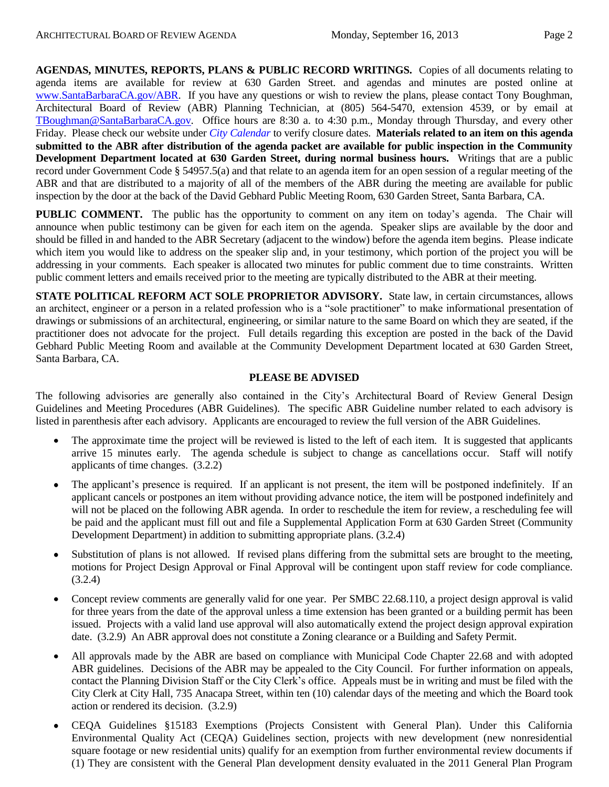**AGENDAS, MINUTES, REPORTS, PLANS & PUBLIC RECORD WRITINGS.** Copies of all documents relating to agenda items are available for review at 630 Garden Street. and agendas and minutes are posted online at [www.SantaBarbaraCA.gov/ABR.](http://www.santabarbaraca.gov/ABR) If you have any questions or wish to review the plans, please contact Tony Boughman, Architectural Board of Review (ABR) Planning Technician, at (805) 564-5470, extension 4539, or by email at [TBoughman@SantaBarbaraCA.gov.](mailto:TBoughman@SantaBarbaraCA.gov) Office hours are 8:30 a. to 4:30 p.m., Monday through Thursday, and every other Friday. Please check our website under *City Calendar* to verify closure dates. **Materials related to an item on this agenda submitted to the ABR after distribution of the agenda packet are available for public inspection in the Community Development Department located at 630 Garden Street, during normal business hours.** Writings that are a public record under Government Code § 54957.5(a) and that relate to an agenda item for an open session of a regular meeting of the ABR and that are distributed to a majority of all of the members of the ABR during the meeting are available for public inspection by the door at the back of the David Gebhard Public Meeting Room, 630 Garden Street, Santa Barbara, CA.

**PUBLIC COMMENT.** The public has the opportunity to comment on any item on today's agenda. The Chair will announce when public testimony can be given for each item on the agenda. Speaker slips are available by the door and should be filled in and handed to the ABR Secretary (adjacent to the window) before the agenda item begins. Please indicate which item you would like to address on the speaker slip and, in your testimony, which portion of the project you will be addressing in your comments. Each speaker is allocated two minutes for public comment due to time constraints. Written public comment letters and emails received prior to the meeting are typically distributed to the ABR at their meeting.

**STATE POLITICAL REFORM ACT SOLE PROPRIETOR ADVISORY.** State law, in certain circumstances, allows an architect, engineer or a person in a related profession who is a "sole practitioner" to make informational presentation of drawings or submissions of an architectural, engineering, or similar nature to the same Board on which they are seated, if the practitioner does not advocate for the project. Full details regarding this exception are posted in the back of the David Gebhard Public Meeting Room and available at the Community Development Department located at 630 Garden Street, Santa Barbara, CA.

#### **PLEASE BE ADVISED**

The following advisories are generally also contained in the City's Architectural Board of Review General Design Guidelines and Meeting Procedures (ABR Guidelines). The specific ABR Guideline number related to each advisory is listed in parenthesis after each advisory. Applicants are encouraged to review the full version of the ABR Guidelines.

- The approximate time the project will be reviewed is listed to the left of each item. It is suggested that applicants arrive 15 minutes early. The agenda schedule is subject to change as cancellations occur. Staff will notify applicants of time changes. (3.2.2)
- The applicant's presence is required. If an applicant is not present, the item will be postponed indefinitely. If an applicant cancels or postpones an item without providing advance notice, the item will be postponed indefinitely and will not be placed on the following ABR agenda. In order to reschedule the item for review, a rescheduling fee will be paid and the applicant must fill out and file a Supplemental Application Form at 630 Garden Street (Community Development Department) in addition to submitting appropriate plans. (3.2.4)
- Substitution of plans is not allowed. If revised plans differing from the submittal sets are brought to the meeting, motions for Project Design Approval or Final Approval will be contingent upon staff review for code compliance. (3.2.4)
- Concept review comments are generally valid for one year. Per SMBC 22.68.110, a project design approval is valid for three years from the date of the approval unless a time extension has been granted or a building permit has been issued. Projects with a valid land use approval will also automatically extend the project design approval expiration date. (3.2.9) An ABR approval does not constitute a Zoning clearance or a Building and Safety Permit.
- All approvals made by the ABR are based on compliance with Municipal Code Chapter 22.68 and with adopted  $\bullet$ ABR guidelines. Decisions of the ABR may be appealed to the City Council. For further information on appeals, contact the Planning Division Staff or the City Clerk's office. Appeals must be in writing and must be filed with the City Clerk at City Hall, 735 Anacapa Street, within ten (10) calendar days of the meeting and which the Board took action or rendered its decision. (3.2.9)
- CEQA Guidelines §15183 Exemptions (Projects Consistent with General Plan). Under this California Environmental Quality Act (CEQA) Guidelines section, projects with new development (new nonresidential square footage or new residential units) qualify for an exemption from further environmental review documents if (1) They are consistent with the General Plan development density evaluated in the 2011 General Plan Program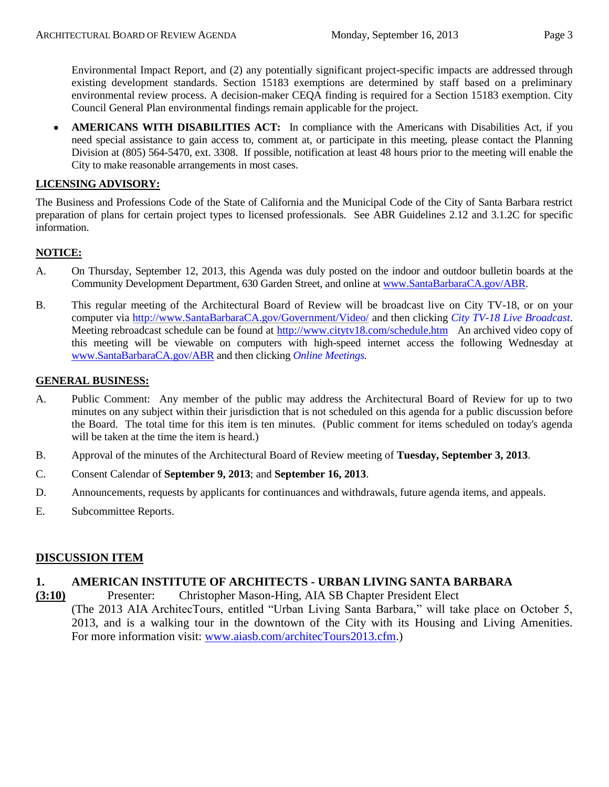**AMERICANS WITH DISABILITIES ACT:** In compliance with the Americans with Disabilities Act, if you  $\bullet$ need special assistance to gain access to, comment at, or participate in this meeting, please contact the Planning Division at (805) 564-5470, ext. 3308. If possible, notification at least 48 hours prior to the meeting will enable the City to make reasonable arrangements in most cases.

### **LICENSING ADVISORY:**

The Business and Professions Code of the State of California and the Municipal Code of the City of Santa Barbara restrict preparation of plans for certain project types to licensed professionals. See ABR Guidelines 2.12 and 3.1.2C for specific information.

### **NOTICE:**

- A. On Thursday, September 12, 2013, this Agenda was duly posted on the indoor and outdoor bulletin boards at the Community Development Department, 630 Garden Street, and online at [www.SantaBarbaraCA.gov/ABR.](http://www.santabarbaraca.gov/ABR)
- B. This regular meeting of the Architectural Board of Review will be broadcast live on City TV-18, or on your computer via [http://www.SantaBarbaraCA.gov/Government/Video/](http://www.santabarbaraca.gov/Government/Video/) and then clicking *City TV-18 Live Broadcast*. Meeting rebroadcast schedule can be found at<http://www.citytv18.com/schedule.htm> An archived video copy of this meeting will be viewable on computers with high-speed internet access the following Wednesday at [www.SantaBarbaraCA.gov/ABR](http://www.santabarbaraca.gov/ABR) and then clicking *Online Meetings.*

### **GENERAL BUSINESS:**

- A. Public Comment: Any member of the public may address the Architectural Board of Review for up to two minutes on any subject within their jurisdiction that is not scheduled on this agenda for a public discussion before the Board. The total time for this item is ten minutes. (Public comment for items scheduled on today's agenda will be taken at the time the item is heard.)
- B. Approval of the minutes of the Architectural Board of Review meeting of **Tuesday, September 3, 2013**.
- C. Consent Calendar of **September 9, 2013**; and **September 16, 2013**.
- D. Announcements, requests by applicants for continuances and withdrawals, future agenda items, and appeals.
- E. Subcommittee Reports.

### **DISCUSSION ITEM**

### **1. AMERICAN INSTITUTE OF ARCHITECTS - URBAN LIVING SANTA BARBARA**

**(3:10)** Presenter: Christopher Mason-Hing, AIA SB Chapter President Elect (The 2013 AIA ArchitecTours, entitled "Urban Living Santa Barbara," will take place on October 5, 2013, and is a walking tour in the downtown of the City with its Housing and Living Amenities. For more information visit: [www.aiasb.com/architecTours2013.cfm.](http://www.aiasb.com/architecTours2013.cfm))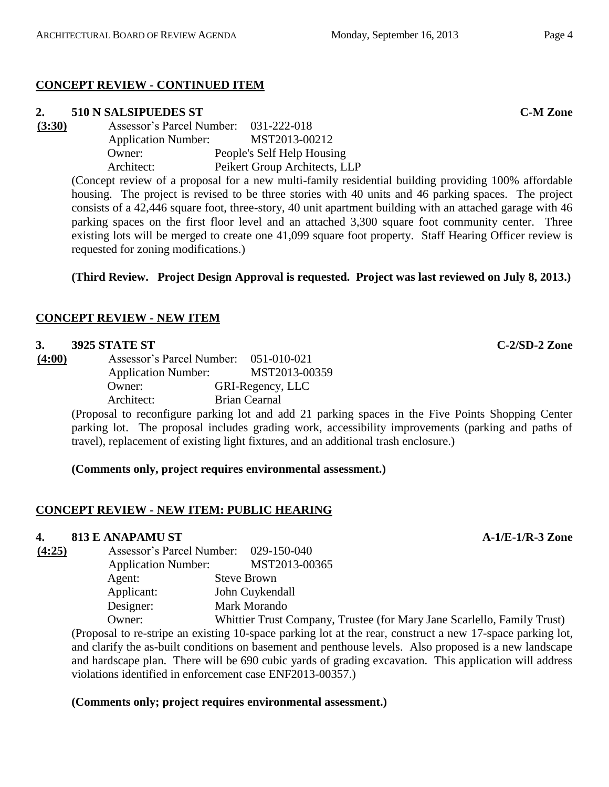# **CONCEPT REVIEW - CONTINUED ITEM**

# **2. 510 N SALSIPUEDES ST C-M Zone**

**(3:30)** Assessor's Parcel Number: 031-222-018 Application Number: MST2013-00212 Owner: People's Self Help Housing Architect: Peikert Group Architects, LLP

(Concept review of a proposal for a new multi-family residential building providing 100% affordable housing. The project is revised to be three stories with 40 units and 46 parking spaces. The project consists of a 42,446 square foot, three-story, 40 unit apartment building with an attached garage with 46 parking spaces on the first floor level and an attached 3,300 square foot community center. Three existing lots will be merged to create one 41,099 square foot property. Staff Hearing Officer review is requested for zoning modifications.)

# **(Third Review. Project Design Approval is requested. Project was last reviewed on July 8, 2013.)**

# **CONCEPT REVIEW - NEW ITEM**

## **3. 3925 STATE ST C-2/SD-2 Zone**

**(4:00)** Assessor's Parcel Number: 051-010-021 Application Number: MST2013-00359 Owner: GRI-Regency, LLC Architect: Brian Cearnal

(Proposal to reconfigure parking lot and add 21 parking spaces in the Five Points Shopping Center parking lot. The proposal includes grading work, accessibility improvements (parking and paths of travel), replacement of existing light fixtures, and an additional trash enclosure.)

**(Comments only, project requires environmental assessment.)**

# **CONCEPT REVIEW - NEW ITEM: PUBLIC HEARING**

## **4. 813 E ANAPAMU ST A-1/E-1/R-3 Zone**

| (4:25) |                            | Assessor's Parcel Number: 029-150-040 |
|--------|----------------------------|---------------------------------------|
|        | <b>Application Number:</b> | MST2013-00365                         |
|        | Agent:                     | <b>Steve Brown</b>                    |
|        | Applicant:                 | John Cuykendall                       |
|        | Designer:                  | Mark Morando                          |
|        | Owner:                     | Whittier Trust Company                |

Whittier Trust Company, Trustee (for Mary Jane Scarlello, Family Trust) (Proposal to re-stripe an existing 10-space parking lot at the rear, construct a new 17-space parking lot, and clarify the as-built conditions on basement and penthouse levels. Also proposed is a new landscape and hardscape plan. There will be 690 cubic yards of grading excavation. This application will address violations identified in enforcement case ENF2013-00357.)

## **(Comments only; project requires environmental assessment.)**